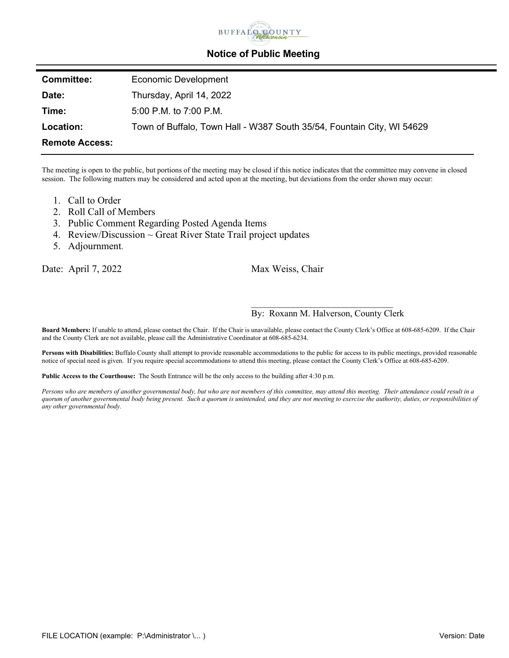

## **Notice of Public Meeting**

| <b>Committee:</b>     | Economic Development                                                   |
|-----------------------|------------------------------------------------------------------------|
| Date:                 | Thursday, April 14, 2022                                               |
| Time:                 | 5:00 P.M. to 7:00 P.M.                                                 |
| Location:             | Town of Buffalo, Town Hall - W387 South 35/54, Fountain City, WI 54629 |
| <b>Remote Access:</b> |                                                                        |

The meeting is open to the public, but portions of the meeting may be closed if this notice indicates that the committee may convene in closed session. The following matters may be considered and acted upon at the meeting, but deviations from the order shown may occur:

- 1. Call to Order
- 2. Roll Call of Members
- 3. Public Comment Regarding Posted Agenda Items
- 4. Review/Discussion  $\sim$  Great River State Trail project updates
- 5. Adjournment.

Date: April 7, 2022 Max Weiss, Chair

## \_\_\_\_\_\_\_\_\_\_\_\_\_\_\_\_\_\_\_\_\_\_\_\_\_\_\_\_\_\_\_ By: Roxann M. Halverson, County Clerk

**Board Members:** If unable to attend, please contact the Chair. If the Chair is unavailable, please contact the County Clerk's Office at 608-685-6209. If the Chair and the County Clerk are not available, please call the Administrative Coordinator at 608-685-6234.

Persons with Disabilities: Buffalo County shall attempt to provide reasonable accommodations to the public for access to its public meetings, provided reasonable notice of special need is given. If you require special accommodations to attend this meeting, please contact the County Clerk's Office at 608-685-6209.

**Public Access to the Courthouse:** The South Entrance will be the only access to the building after 4:30 p.m.

*Persons who are members of another governmental body, but who are not members of this committee, may attend this meeting. Their attendance could result in a quorum of another governmental body being present. Such a quorum is unintended, and they are not meeting to exercise the authority, duties, or responsibilities of any other governmental body.*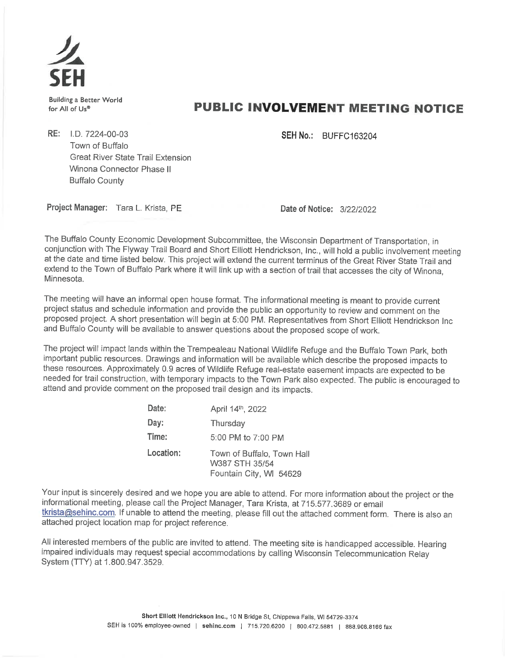

**Building a Better World** for All of Us®

## **PUBLIC INVOLVEMENT MEETING NOTICE**

**SEH No.: BUFFC163204** 

RE: I.D. 7224-00-03 Town of Buffalo **Great River State Trail Extension** Winona Connector Phase II **Buffalo County** 

Project Manager: Tara L. Krista, PE

Date of Notice: 3/22/2022

The Buffalo County Economic Development Subcommittee, the Wisconsin Department of Transportation, in conjunction with The Flyway Trail Board and Short Elliott Hendrickson, Inc., will hold a public involvement meeting at the date and time listed below. This project will extend the current terminus of the Great River State Trail and extend to the Town of Buffalo Park where it will link up with a section of trail that accesses the city of Winona, Minnesota.

The meeting will have an informal open house format. The informational meeting is meant to provide current project status and schedule information and provide the public an opportunity to review and comment on the proposed project. A short presentation will begin at 5:00 PM. Representatives from Short Elliott Hendrickson Inc and Buffalo County will be available to answer questions about the proposed scope of work.

The project will impact lands within the Trempealeau National Wildlife Refuge and the Buffalo Town Park, both important public resources. Drawings and information will be available which describe the proposed impacts to these resources. Approximately 0.9 acres of Wildlife Refuge real-estate easement impacts are expected to be needed for trail construction, with temporary impacts to the Town Park also expected. The public is encouraged to attend and provide comment on the proposed trail design and its impacts.

| Date:     | April 14th, 2022                                                        |
|-----------|-------------------------------------------------------------------------|
| Day:      | Thursday                                                                |
| Time:     | 5:00 PM to 7:00 PM                                                      |
| Location: | Town of Buffalo, Town Hall<br>W387 STH 35/54<br>Fountain City, WI 54629 |

Your input is sincerely desired and we hope you are able to attend. For more information about the project or the informational meeting, please call the Project Manager, Tara Krista, at 715.577.3689 or email tkrista@sehinc.com. If unable to attend the meeting, please fill out the attached comment form. There is also an attached project location map for project reference.

All interested members of the public are invited to attend. The meeting site is handicapped accessible. Hearing impaired individuals may request special accommodations by calling Wisconsin Telecommunication Relay System (TTY) at 1.800.947.3529.